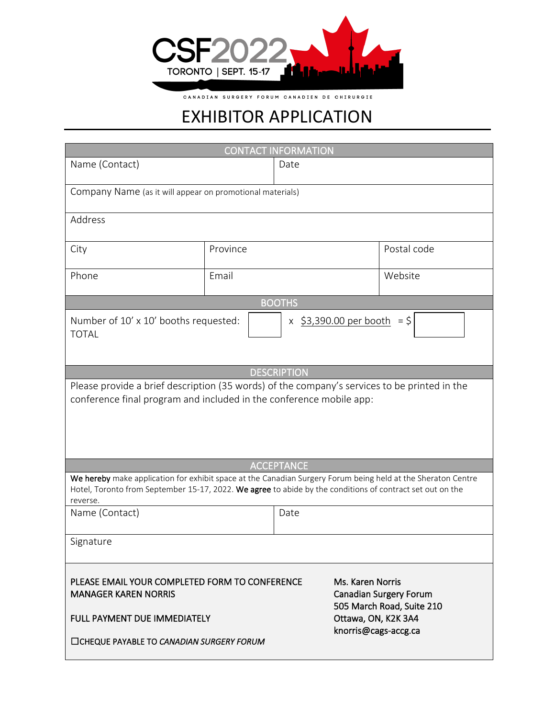

CANADIAN SURGERY FORUM CANADIEN DE CHIRURGIE

## EXHIBITOR APPLICATION

| <b>CONTACT INFORMATION</b>                                                                                                                                                                                                            |          |      |                                                                                                       |             |  |
|---------------------------------------------------------------------------------------------------------------------------------------------------------------------------------------------------------------------------------------|----------|------|-------------------------------------------------------------------------------------------------------|-------------|--|
| Name (Contact)                                                                                                                                                                                                                        |          | Date |                                                                                                       |             |  |
| Company Name (as it will appear on promotional materials)                                                                                                                                                                             |          |      |                                                                                                       |             |  |
| Address                                                                                                                                                                                                                               |          |      |                                                                                                       |             |  |
| City                                                                                                                                                                                                                                  | Province |      |                                                                                                       | Postal code |  |
| Phone                                                                                                                                                                                                                                 | Email    |      |                                                                                                       | Website     |  |
| <b>BOOTHS</b>                                                                                                                                                                                                                         |          |      |                                                                                                       |             |  |
| x \$3,390.00 per booth<br>Number of 10' x 10' booths requested:<br>$=$ \$<br><b>TOTAL</b>                                                                                                                                             |          |      |                                                                                                       |             |  |
| <b>DESCRIPTION</b>                                                                                                                                                                                                                    |          |      |                                                                                                       |             |  |
| Please provide a brief description (35 words) of the company's services to be printed in the<br>conference final program and included in the conference mobile app:                                                                   |          |      |                                                                                                       |             |  |
| <b>ACCEPTANCE</b>                                                                                                                                                                                                                     |          |      |                                                                                                       |             |  |
| We hereby make application for exhibit space at the Canadian Surgery Forum being held at the Sheraton Centre<br>Hotel, Toronto from September 15-17, 2022. We agree to abide by the conditions of contract set out on the<br>reverse. |          |      |                                                                                                       |             |  |
| Name (Contact)                                                                                                                                                                                                                        |          | Date |                                                                                                       |             |  |
| Signature                                                                                                                                                                                                                             |          |      |                                                                                                       |             |  |
| PLEASE EMAIL YOUR COMPLETED FORM TO CONFERENCE<br><b>MANAGER KAREN NORRIS</b><br>FULL PAYMENT DUE IMMEDIATELY                                                                                                                         |          |      | Ms. Karen Norris<br><b>Canadian Surgery Forum</b><br>505 March Road, Suite 210<br>Ottawa, ON, K2K 3A4 |             |  |
| □CHEQUE PAYABLE TO CANADIAN SURGERY FORUM                                                                                                                                                                                             |          |      | knorris@cags-accg.ca                                                                                  |             |  |